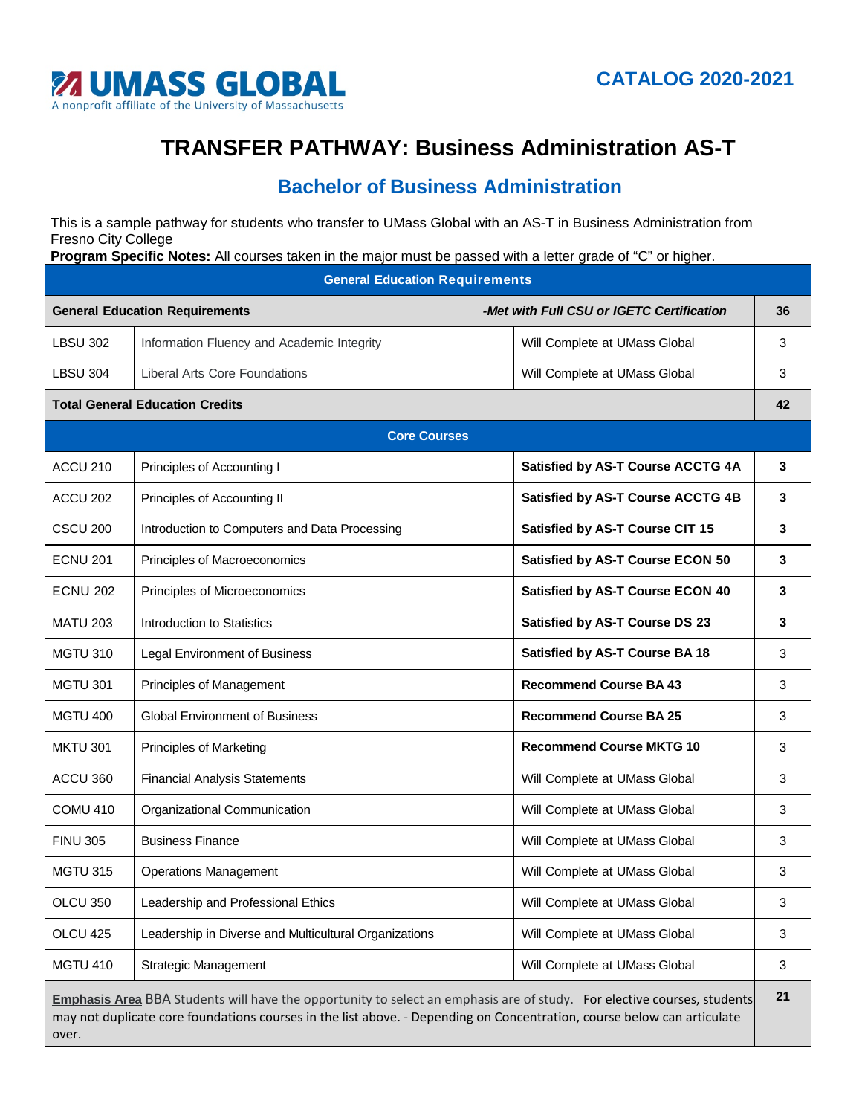

## **TRANSFER PATHWAY: Business Administration AS-T**

## **Bachelor of Business Administration**

This is a sample pathway for students who transfer to UMass Global with an AS-T in Business Administration from Fresno City College

**Program Specific Notes:** All courses taken in the major must be passed with a letter grade of "C" or higher.

| <b>General Education Requirements</b>                                                                                                                                                                                                                       |                                                       |                                           |    |  |  |
|-------------------------------------------------------------------------------------------------------------------------------------------------------------------------------------------------------------------------------------------------------------|-------------------------------------------------------|-------------------------------------------|----|--|--|
|                                                                                                                                                                                                                                                             | <b>General Education Requirements</b>                 | -Met with Full CSU or IGETC Certification | 36 |  |  |
| <b>LBSU 302</b>                                                                                                                                                                                                                                             | Information Fluency and Academic Integrity            | Will Complete at UMass Global             | 3  |  |  |
| <b>LBSU 304</b>                                                                                                                                                                                                                                             | <b>Liberal Arts Core Foundations</b>                  | Will Complete at UMass Global             | 3  |  |  |
| <b>Total General Education Credits</b>                                                                                                                                                                                                                      |                                                       |                                           |    |  |  |
| <b>Core Courses</b>                                                                                                                                                                                                                                         |                                                       |                                           |    |  |  |
| ACCU <sub>210</sub>                                                                                                                                                                                                                                         | Principles of Accounting I                            | Satisfied by AS-T Course ACCTG 4A         | 3  |  |  |
| ACCU 202                                                                                                                                                                                                                                                    | Principles of Accounting II                           | Satisfied by AS-T Course ACCTG 4B         | 3  |  |  |
| <b>CSCU 200</b>                                                                                                                                                                                                                                             | Introduction to Computers and Data Processing         | Satisfied by AS-T Course CIT 15           | 3  |  |  |
| <b>ECNU 201</b>                                                                                                                                                                                                                                             | Principles of Macroeconomics                          | Satisfied by AS-T Course ECON 50          | 3  |  |  |
| <b>ECNU 202</b>                                                                                                                                                                                                                                             | Principles of Microeconomics                          | Satisfied by AS-T Course ECON 40          | 3  |  |  |
| <b>MATU 203</b>                                                                                                                                                                                                                                             | Introduction to Statistics                            | Satisfied by AS-T Course DS 23            | 3  |  |  |
| <b>MGTU 310</b>                                                                                                                                                                                                                                             | <b>Legal Environment of Business</b>                  | Satisfied by AS-T Course BA 18            | 3  |  |  |
| <b>MGTU 301</b>                                                                                                                                                                                                                                             | Principles of Management                              | <b>Recommend Course BA 43</b>             | 3  |  |  |
| <b>MGTU 400</b>                                                                                                                                                                                                                                             | <b>Global Environment of Business</b>                 | <b>Recommend Course BA 25</b>             | 3  |  |  |
| <b>MKTU 301</b>                                                                                                                                                                                                                                             | <b>Principles of Marketing</b>                        | <b>Recommend Course MKTG 10</b>           | 3  |  |  |
| ACCU 360                                                                                                                                                                                                                                                    | <b>Financial Analysis Statements</b>                  | Will Complete at UMass Global             | 3  |  |  |
| <b>COMU 410</b>                                                                                                                                                                                                                                             | Organizational Communication                          | Will Complete at UMass Global             | 3  |  |  |
| <b>FINU 305</b>                                                                                                                                                                                                                                             | <b>Business Finance</b>                               | Will Complete at UMass Global             | 3  |  |  |
| <b>MGTU 315</b>                                                                                                                                                                                                                                             | <b>Operations Management</b>                          | Will Complete at UMass Global             | 3  |  |  |
| OLCU 350                                                                                                                                                                                                                                                    | Leadership and Professional Ethics                    | Will Complete at UMass Global             | 3  |  |  |
| OLCU 425                                                                                                                                                                                                                                                    | Leadership in Diverse and Multicultural Organizations | Will Complete at UMass Global             | 3  |  |  |
| <b>MGTU 410</b>                                                                                                                                                                                                                                             | <b>Strategic Management</b>                           | Will Complete at UMass Global             | 3  |  |  |
| Emphasis Area BBA Students will have the opportunity to select an emphasis are of study. For elective courses, students<br>may not duplicate core foundations courses in the list above. - Depending on Concentration, course below can articulate<br>over. |                                                       |                                           |    |  |  |